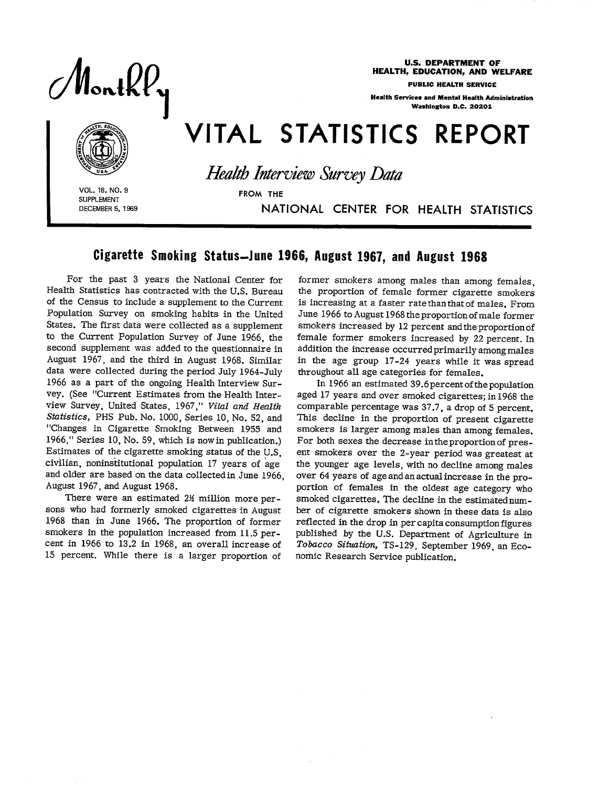Nontkł

U.S. DEPARTMENT OF HEALTH, EDUCATION, AND WELFARE

PUBLIC HEALTH SERVICE

Health Services and Mental Health Ministration Washington D.C. 20201

# VITAL STATISTICS REPORT

VOL. 18, NO. 9<br>
SUPPLEMENT<br>
DECEMBER 5, 1969<br> **INAT** SUPPLEMENT

*Health Interview Survey Data* 

DECEMBER5, 1869 NATIONAL CENTER FOR HEALTH STATISTICS

## Cigarette Smoking Status-June 1966, August 1967, and August 1968

For the past 3 years the National Center for Health Statistics has contracted with the U.S. Bureau of the Census to include a supplement to the Current Population Survey on smoking habits in the United States. The first data were collected as a supplement to the Current population Survey of June 1966, the second supplement was added to the questionnaire in August 1967, and the third in August 1968. Similar data were collected during the period July 1964-July 1966 as a part of the ongoing Health Interview Survey. (See "Current Estimates from the Health Interview Survey, United States, 1967," *Vital and Health Statistics,* PHS Pub. No. 1000, Series 10, No. 52, and "Changes in Cigarette Smoking Between 1955 and 1966," Series 10, No. 59, which is now in publication.) Estimates of the cigarette smoking status of the U.S, civilian, noninstitutional population 17 years of age and older are based on the data collected in June 1966, August 1967, and August 1968.

There were an estimated 2½ million more persons who had formerly smoked cigarettes in August 1968 than in June 1966. The proportion of former smokers in the population increased from 11.5 percent in 1966 to 13.2 in 1968, an overall increase of 15 percent. While there is a larger proportion of

former smokers among males than among females the proportion of female former cigarette smoker is increasing at a faster rate than that of males. From June 1966 to August 1968 the proportion of male former smokers increased by 12 percent and the proportion of female former smokers increased by 22 percent. In addition the increase occurred primarily among males in the age group 17-24 years while it was spread throughout all age categories for females.

In 1966 an estimated 39.6 percent of the population aged 17 years and over smoked cigarettes; in 1968 the comparable percentage was 37.7, a drop of 5 percent. This decline in the proportion of present cigarette smokers is larger among males than among females. For both sexes the decrease in the proportion of present smokers over the 2-year period was greatest at the younger age levels, with no decline among males over 64 years of age and an actual increase in the proportion of females in the oldest age category who smoked cigarettes. The decline in the estimated number of cigarette smokers shown in these data is also reflected in the drop in per capita consumption figures published by the U.S. Department of Agriculture in Tobacco *Situation,* TS-129, September 1969, an Economic Research Service publication.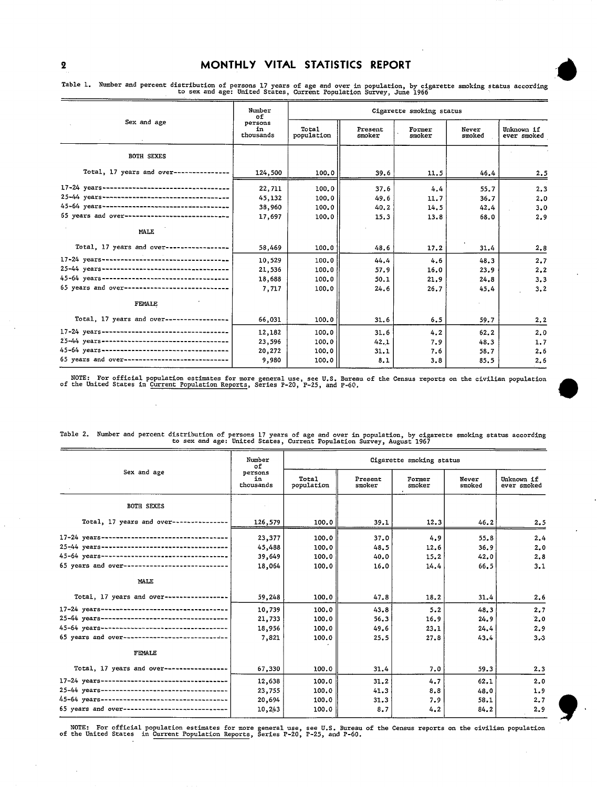$\mathcal{L}$ 

#### 2 MONTHLY VITAL STATISTICS REPORT

| Sex and age                                    | Number<br>оf               | Cigarette smoking status |                   |                  |                 |                           |  |
|------------------------------------------------|----------------------------|--------------------------|-------------------|------------------|-----------------|---------------------------|--|
|                                                | persons<br>in<br>thousands | Total<br>population      | Present<br>smoker | Former<br>smoker | Never<br>smoked | Unknown 1f<br>ever smoked |  |
| <b>BOTH SEXES</b>                              |                            |                          |                   |                  |                 |                           |  |
| Total, 17 years and over-------------          | 124,500                    | 100.0                    | 39.6              | 11.5             | 46.4            | 2.5                       |  |
| 17-24 years----------------------------------- | 22,711                     | 100.0                    | 37.6              | 4.4              | 55.7            | 2.3                       |  |
| 25-44 years----------------------------------- | 45.132                     | 100.0                    | 49.6              | 11.7             | 36.7            | 2.0                       |  |
| 45-64 years----------------------------------  | 38,960                     | 100.0                    | 40.2              | 14.5             | 42.4            | 3.0                       |  |
| 65 years and over----------------------------- | 17,697                     | 100.0                    | 15.3              | 13.8             | 68.0            | 2.9                       |  |
| MALE                                           |                            |                          |                   |                  |                 |                           |  |
| Total, 17 years and over------------------     | 58,469                     | 100.0                    | 48.6              | 17.2             | 31.4            | 2.8                       |  |
| 17-24 years----------------------------------  | 10.529                     | 100.0                    | 44.4              | 4.6              | 48.3            | 2.7                       |  |
| 25-44 years----------------------------------- | 21,536                     | 100.0                    | 57.9              | 16.0             | 23.9            | 2.2                       |  |
| 45-64 years----------------------------------- | 18,688                     | 100.0                    | 50.1              | 21.9             | 24.8            | 3,3                       |  |
| 65 years and over----------------------------- | 7,717                      | 100.0                    | 24.6              | 26.7             | 45.4            | 3.2                       |  |
| <b>FEMALE</b>                                  |                            |                          |                   |                  |                 |                           |  |
| Total, 17 years and over-----------------      | 66,031                     | 100.0                    | 31.6              | 6.5              | 59.7            | 2, 2                      |  |
| 17-24 years----------------------------------- | 12,182                     | 100.0                    | 31.6              | 4.2              | 62.2            | 2.0                       |  |
| 25-44 years----------------------------------- | 23,596                     | 100.0                    | 42.1              | 7.9              | 48.3            | 1,7                       |  |
| 45-64 years----------------------------------- | 20,272                     | 100.0                    | 31.1              | 7.6              | 58.7            | 2.6                       |  |
| 65 years and over----------------------------- | 9,980                      | 100.0                    | 8.1               | 3.8              | 85.5            | 2,6                       |  |

.<br>" Table 1. Number and percent distribution of persons 17 years of age and over in population, by cigarette smoking status according to sex and age: United States, Current Population Survey, June 1966

NOTE: For official population estimates for more general use, see U.S. Bureau of the Census reports on the civilian population<br>of the United States in Current Population Reports, Series P-20, P-25, and P-60.

\*

|                                                | Number<br>оf               | Cigarette smoking status |                   |                  |                 |                           |  |  |
|------------------------------------------------|----------------------------|--------------------------|-------------------|------------------|-----------------|---------------------------|--|--|
| Sex and age                                    | persons<br>in<br>thousands | Total<br>population      | Present<br>smoker | Former<br>smoker | Never<br>smoked | Unknown if<br>ever smoked |  |  |
| <b>BOTH SEXES</b>                              |                            |                          |                   |                  |                 |                           |  |  |
| Total, 17 years and over-----------            | 126,579                    | 100.0                    | 39.1              | 12.3             | 46.2            | 2,5                       |  |  |
| 17-24 years----------------------------------- | 23,377                     | 100.0                    | 37.0              | 4.9              | 55.8            | 2.4                       |  |  |
| 25-44 years----------------------------------- | 45,488                     | 100.0                    | 48.5              | 12.6             | 36.9            | 2.0                       |  |  |
| 45-64 years----------------------------------- | 39,649                     | 100.0                    | 40.0              | 15.2             | 42.0            | 2.8                       |  |  |
| 65 years and over----------------------------- | 18,064                     | 100.0                    | 16.0              | 14.4             | 66.5            | 3.1                       |  |  |
| MALE                                           |                            |                          |                   |                  |                 |                           |  |  |
| Total, 17 years and over-----------------      | 59,248                     | 100.0                    | 47.8              | 18.2             | 31.4            | 2.6                       |  |  |
|                                                | 10,739                     | 100.0                    | 43.8              | 5.2              | 48.3            | 2.7                       |  |  |
| 25-44 years----------------------------------- | 21,733                     | 100.0                    | 56.3              | 16.9             | 24.9            | 2,0                       |  |  |
| 45-64 vears----------------------------------- | 18,956                     | 100.0                    | 49.6              | 23.1             | 24.4            | 2.9                       |  |  |
| 65 years and over----------------------------- | 7.821                      | 100.0                    | 25.5              | 27.8             | 43.4            | $3 - 3$                   |  |  |
| FEMALE                                         |                            |                          |                   |                  |                 |                           |  |  |
| Total, 17 years and over-----------------      | 67,330                     | 100.0                    | 31.4              | 7.0              | 59.3            | 2.3                       |  |  |
| 17-24 years----------------------------------- | 12.638                     | 100.0                    | 31.2              | 4.7              | 62.1            | 2.0                       |  |  |
| 25-44 years----------------------------------- | 23,755                     | 100.0                    | 41.3              | 8.8              | 48.0            | 1.9                       |  |  |
| 45-64 years----------------------------------- | 20,694                     | 100.0                    | 31.3              | 7.9              | 58.1            | 2.7                       |  |  |
| 65 years and over----------------------------- | 10,243                     | 100.0                    | 8,7               | 4.2              | 84.2            | 2.9                       |  |  |

Table 2. Number and percent distributionof persons 17 years of age and over in population, by cigarette smoking status according to sex and age: United States, Current Population Survey, August 1967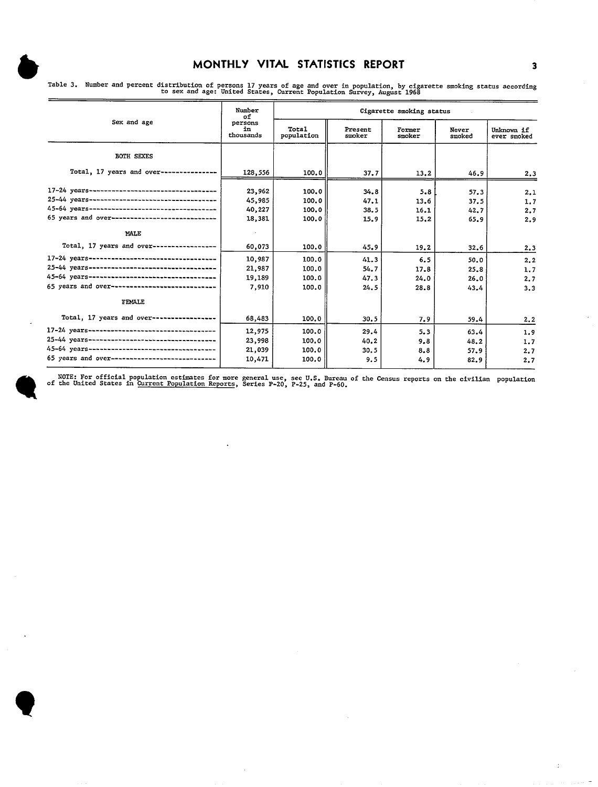| Sex and age                                    | Number<br>of                | Cigarette smoking status |                   |                  |                 |                           |  |
|------------------------------------------------|-----------------------------|--------------------------|-------------------|------------------|-----------------|---------------------------|--|
|                                                | persons<br>in.<br>thousands | Total<br>population      | Present<br>smoker | Former<br>snoker | Never<br>smoked | Unknown if<br>ever smoked |  |
| <b>BOTH SEXES</b>                              |                             |                          |                   |                  |                 |                           |  |
| Total, 17 years and over---------------        | 128,556                     | 100.0                    | 37.7              | 13,2             | 46.9            | 2.3                       |  |
|                                                | 23,962                      | 100.0                    | 34.8              | 5.8              | 57.3            | 2.1                       |  |
| 25-44 years----------------------------------- | 45,985                      | 100.0                    | 47.1              | 13.6             | 37.5            | 1.7                       |  |
|                                                | 40,227                      | 100.0                    | 38.5              | 16.1             | 42.7            | 2.7                       |  |
| 65 years and over----------------------------- | 18,381                      | 100.0                    | 15.9              | 15.2             | 65.9            | 2.9                       |  |
| MALE                                           |                             |                          |                   |                  |                 |                           |  |
| Total, 17 years and over------------------     | 60,073                      | 100.0                    | 45.9              | 19.2             | 32.6            | 2.3                       |  |
|                                                | 10,987                      | 100.0                    | 41.3              | 6.5              | 50.0            | 2.2                       |  |
| 25-44 years----------------------------------- | 21,987                      | 100.0                    | 54.7              | 17.8             | 25.8            | 1.7                       |  |
|                                                | 19,189                      | 100.0                    | 47.3              | 24.0             | 26.0            | 2.7                       |  |
| 65 years and over----------------------------- | 7,910                       | 100.0                    | 24.5              | 28.8             | 43.4            | 3.3                       |  |
| FEMALE                                         |                             |                          |                   |                  |                 |                           |  |
| Total, 17 years and over------------------     | 68,483                      | 100.0                    | 30.5              | 7.9              | 59.4            | 2,2                       |  |
|                                                | 12,975                      | 100.0                    | 29.4              | 5.3              | 63.4            | 1.9                       |  |
| 25-44 years----------------------------------- | 23,998                      | 100.0                    | 40.2              | 9.8              | 48.2            | 1.7                       |  |
|                                                | 21,039                      | 100.0                    | 30.5              | 8.8              | 57.9            | 2.7                       |  |
| 65 years and over----------------------------- | 10,471                      | 100.0                    | 9.5               | 4.9              | 82.9            | 2.7                       |  |

MONTHLY VITAL STATISTICS REPORT 3<br>Table 3. Number and percent distribution of persons 17 years of age and over in population, by cigarette smoking status according<br>to sex and age: United States, Current Population Survey,

of NOTE: For official population estimates for more general use, see U.S. Bureau of the Census reports on the civilian population<br>of the United States in <u>Current Population Reports</u>, Series P-20, P-25, and P-60.

 $\bar{z}$ 

 $\mathbb{C}$